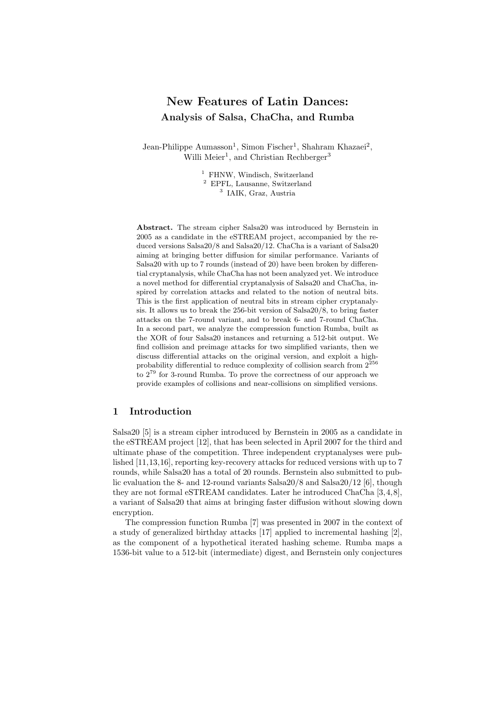# New Features of Latin Dances: Analysis of Salsa, ChaCha, and Rumba

Jean-Philippe Aumasson<sup>1</sup>, Simon Fischer<sup>1</sup>, Shahram Khazaei<sup>2</sup>, Willi Meier<sup>1</sup>, and Christian Rechberger<sup>3</sup>

> <sup>1</sup> FHNW, Windisch, Switzerland <sup>2</sup> EPFL, Lausanne, Switzerland 3 IAIK, Graz, Austria

Abstract. The stream cipher Salsa20 was introduced by Bernstein in 2005 as a candidate in the eSTREAM project, accompanied by the reduced versions Salsa20/8 and Salsa20/12. ChaCha is a variant of Salsa20 aiming at bringing better diffusion for similar performance. Variants of Salsa20 with up to 7 rounds (instead of 20) have been broken by differential cryptanalysis, while ChaCha has not been analyzed yet. We introduce a novel method for differential cryptanalysis of Salsa20 and ChaCha, inspired by correlation attacks and related to the notion of neutral bits. This is the first application of neutral bits in stream cipher cryptanalysis. It allows us to break the 256-bit version of Salsa20/8, to bring faster attacks on the 7-round variant, and to break 6- and 7-round ChaCha. In a second part, we analyze the compression function Rumba, built as the XOR of four Salsa20 instances and returning a 512-bit output. We find collision and preimage attacks for two simplified variants, then we discuss differential attacks on the original version, and exploit a highprobability differential to reduce complexity of collision search from  $2^{256}$ to 2<sup>79</sup> for 3-round Rumba. To prove the correctness of our approach we provide examples of collisions and near-collisions on simplified versions.

# 1 Introduction

Salsa20 [5] is a stream cipher introduced by Bernstein in 2005 as a candidate in the eSTREAM project [12], that has been selected in April 2007 for the third and ultimate phase of the competition. Three independent cryptanalyses were published [11,13,16], reporting key-recovery attacks for reduced versions with up to 7 rounds, while Salsa20 has a total of 20 rounds. Bernstein also submitted to public evaluation the 8- and 12-round variants Salsa20/8 and Salsa20/12 [6], though they are not formal eSTREAM candidates. Later he introduced ChaCha [3,4,8], a variant of Salsa20 that aims at bringing faster diffusion without slowing down encryption.

The compression function Rumba [7] was presented in 2007 in the context of a study of generalized birthday attacks [17] applied to incremental hashing [2], as the component of a hypothetical iterated hashing scheme. Rumba maps a 1536-bit value to a 512-bit (intermediate) digest, and Bernstein only conjectures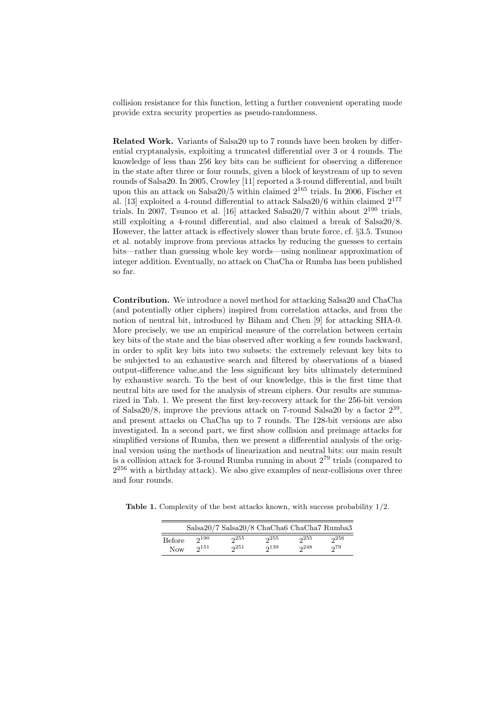collision resistance for this function, letting a further convenient operating mode provide extra security properties as pseudo-randomness.

Related Work. Variants of Salsa20 up to 7 rounds have been broken by differential cryptanalysis, exploiting a truncated differential over 3 or 4 rounds. The knowledge of less than 256 key bits can be sufficient for observing a difference in the state after three or four rounds, given a block of keystream of up to seven rounds of Salsa20. In 2005, Crowley [11] reported a 3-round differential, and built upon this an attack on Salsa20/5 within claimed  $2^{165}$  trials. In 2006, Fischer et al. [13] exploited a 4-round differential to attack Salsa20/6 within claimed  $2^{177}$ trials. In 2007, Tsunoo et al. [16] attacked Salsa  $20/7$  within about  $2^{190}$  trials, still exploiting a 4-round differential, and also claimed a break of Salsa20/8. However, the latter attack is effectively slower than brute force, cf. §3.5. Tsunoo et al. notably improve from previous attacks by reducing the guesses to certain bits—rather than guessing whole key words—using nonlinear approximation of integer addition. Eventually, no attack on ChaCha or Rumba has been published so far.

Contribution. We introduce a novel method for attacking Salsa20 and ChaCha (and potentially other ciphers) inspired from correlation attacks, and from the notion of neutral bit, introduced by Biham and Chen [9] for attacking SHA-0. More precisely, we use an empirical measure of the correlation between certain key bits of the state and the bias observed after working a few rounds backward, in order to split key bits into two subsets: the extremely relevant key bits to be subjected to an exhaustive search and filtered by observations of a biased output-difference value,and the less significant key bits ultimately determined by exhaustive search. To the best of our knowledge, this is the first time that neutral bits are used for the analysis of stream ciphers. Our results are summarized in Tab. 1. We present the first key-recovery attack for the 256-bit version of Salsa20/8, improve the previous attack on 7-round Salsa20 by a factor  $2^{39}$ , and present attacks on ChaCha up to 7 rounds. The 128-bit versions are also investigated. In a second part, we first show collision and preimage attacks for simplified versions of Rumba, then we present a differential analysis of the original version using the methods of linearization and neutral bits: our main result is a collision attack for 3-round Rumba running in about  $2^{79}$  trials (compared to  $2^{256}$  with a birthday attack). We also give examples of near-collisions over three and four rounds.

Table 1. Complexity of the best attacks known, with success probability 1/2.

|        |           | Salsa20/7 Salsa20/8 ChaCha6 ChaCha7 Rumba3 |           |     |     |
|--------|-----------|--------------------------------------------|-----------|-----|-----|
| Before | $2^{190}$ | 255                                        | 255       | 255 | 256 |
| Now    | $2^{151}$ | 251                                        | $2^{139}$ | 248 | 279 |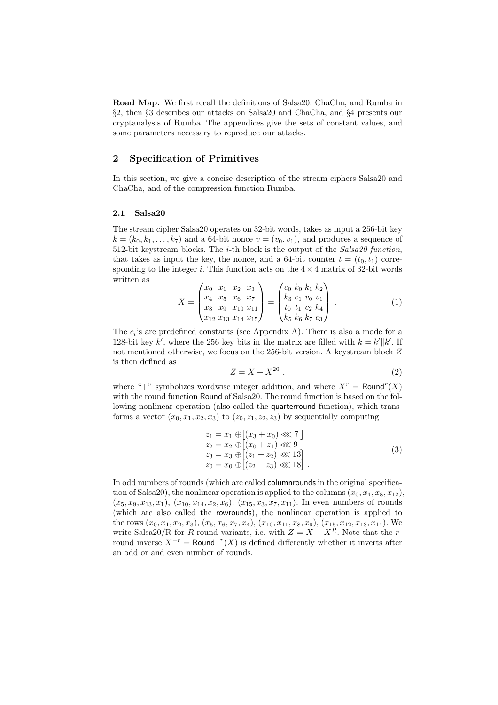Road Map. We first recall the definitions of Salsa20, ChaCha, and Rumba in §2, then §3 describes our attacks on Salsa20 and ChaCha, and §4 presents our cryptanalysis of Rumba. The appendices give the sets of constant values, and some parameters necessary to reproduce our attacks.

# 2 Specification of Primitives

In this section, we give a concise description of the stream ciphers Salsa20 and ChaCha, and of the compression function Rumba.

#### 2.1 Salsa20

The stream cipher Salsa20 operates on 32-bit words, takes as input a 256-bit key  $k = (k_0, k_1, \ldots, k_7)$  and a 64-bit nonce  $v = (v_0, v_1)$ , and produces a sequence of 512-bit keystream blocks. The *i*-th block is the output of the  $Salsa20$  function, that takes as input the key, the nonce, and a 64-bit counter  $t = (t_0, t_1)$  corresponding to the integer i. This function acts on the  $4 \times 4$  matrix of 32-bit words written as  $\overline{\phantom{a}}$  $\mathbf{r}$  $\overline{\phantom{a}}$  $\mathbf{r}$ 

$$
X = \begin{pmatrix} x_0 & x_1 & x_2 & x_3 \\ x_4 & x_5 & x_6 & x_7 \\ x_8 & x_9 & x_{10} & x_{11} \\ x_{12} & x_{13} & x_{14} & x_{15} \end{pmatrix} = \begin{pmatrix} c_0 & k_0 & k_1 & k_2 \\ k_3 & c_1 & v_0 & v_1 \\ t_0 & t_1 & c_2 & k_4 \\ k_5 & k_6 & k_7 & c_3 \end{pmatrix} . \tag{1}
$$

The  $c_i$ 's are predefined constants (see Appendix A). There is also a mode for a 128-bit key k', where the 256 key bits in the matrix are filled with  $k = k' || k'$ . If not mentioned otherwise, we focus on the 256-bit version. A keystream block Z is then defined as

$$
Z = X + X^{20} \tag{2}
$$

where "+" symbolizes wordwise integer addition, and where  $X^r = \text{Round}^r(X)$ with the round function Round of Salsa20. The round function is based on the following nonlinear operation (also called the quarterround function), which transforms a vector  $(x_0, x_1, x_2, x_3)$  to  $(z_0, z_1, z_2, z_3)$  by sequentially computing

$$
z_1 = x_1 \oplus [(x_3 + x_0) \ll 7]
$$
  
\n
$$
z_2 = x_2 \oplus [(x_0 + z_1) \ll 9]
$$
  
\n
$$
z_3 = x_3 \oplus [(z_1 + z_2) \ll 13]
$$
  
\n
$$
z_0 = x_0 \oplus [(z_2 + z_3) \ll 18].
$$
\n(3)

In odd numbers of rounds (which are called columnrounds in the original specification of Salsa20), the nonlinear operation is applied to the columns  $(x_0, x_4, x_8, x_{12})$ ,  $(x_5, x_9, x_{13}, x_1), (x_{10}, x_{14}, x_2, x_6), (x_{15}, x_3, x_7, x_{11}).$  In even numbers of rounds (which are also called the rowrounds), the nonlinear operation is applied to the rows  $(x_0, x_1, x_2, x_3), (x_5, x_6, x_7, x_4), (x_{10}, x_{11}, x_8, x_9), (x_{15}, x_{12}, x_{13}, x_{14}).$  We write Salsa20/R for R-round variants, i.e. with  $Z = X + X<sup>R</sup>$ . Note that the rround inverse  $X^{-r} = \text{Round}^{-r}(X)$  is defined differently whether it inverts after an odd or and even number of rounds.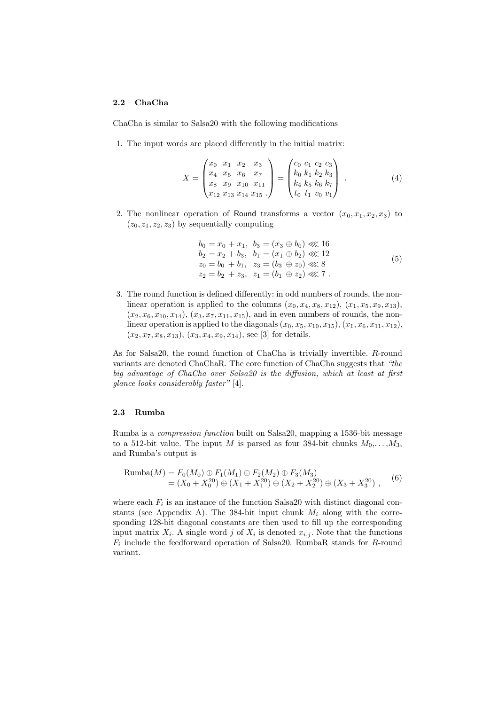## 2.2 ChaCha

ChaCha is similar to Salsa20 with the following modifications

1. The input words are placed differently in the initial matrix:

$$
X = \begin{pmatrix} x_0 & x_1 & x_2 & x_3 \\ x_4 & x_5 & x_6 & x_7 \\ x_8 & x_9 & x_{10} & x_{11} \\ x_{12} & x_{13} & x_{14} & x_{15} \end{pmatrix} = \begin{pmatrix} c_0 & c_1 & c_2 & c_3 \\ k_0 & k_1 & k_2 & k_3 \\ k_4 & k_5 & k_6 & k_7 \\ t_0 & t_1 & v_0 & v_1 \end{pmatrix} . \tag{4}
$$

2. The nonlinear operation of Round transforms a vector  $(x_0, x_1, x_2, x_3)$  to  $(z_0, z_1, z_2, z_3)$  by sequentially computing

$$
b_0 = x_0 + x_1, b_3 = (x_3 \oplus b_0) \ll 16b_2 = x_2 + b_3, b_1 = (x_1 \oplus b_2) \ll 12z_0 = b_0 + b_1, z_3 = (b_3 \oplus z_0) \ll 8z_2 = b_2 + z_3, z_1 = (b_1 \oplus z_2) \ll 7.
$$
 (5)

3. The round function is defined differently: in odd numbers of rounds, the nonlinear operation is applied to the columns  $(x_0, x_4, x_8, x_{12})$ ,  $(x_1, x_5, x_9, x_{13})$ ,  $(x_2, x_6, x_{10}, x_{14}), (x_3, x_7, x_{11}, x_{15}),$  and in even numbers of rounds, the nonlinear operation is applied to the diagonals  $(x_0, x_5, x_{10}, x_{15})$ ,  $(x_1, x_6, x_{11}, x_{12})$ ,  $(x_2, x_7, x_8, x_{13}), (x_3, x_4, x_9, x_{14}),$  see [3] for details.

As for Salsa20, the round function of ChaCha is trivially invertible. R-round variants are denoted ChaChaR. The core function of ChaCha suggests that "the big advantage of ChaCha over Salsa20 is the diffusion, which at least at first glance looks considerably faster" [4].

#### 2.3 Rumba

Rumba is a compression function built on Salsa20, mapping a 1536-bit message to a 512-bit value. The input M is parsed as four 384-bit chunks  $M_0, \ldots, M_3$ , and Rumba's output is

$$
\begin{aligned} \text{Rumba}(M) &= F_0(M_0) \oplus F_1(M_1) \oplus F_2(M_2) \oplus F_3(M_3) \\ &= (X_0 + X_0^{20}) \oplus (X_1 + X_1^{20}) \oplus (X_2 + X_2^{20}) \oplus (X_3 + X_3^{20}) \;, \end{aligned} \tag{6}
$$

where each  $F_i$  is an instance of the function Salsa 20 with distinct diagonal constants (see Appendix A). The 384-bit input chunk  $M_i$  along with the corresponding 128-bit diagonal constants are then used to fill up the corresponding input matrix  $X_i$ . A single word j of  $X_i$  is denoted  $x_{i,j}$ . Note that the functions  $F_i$  include the feedforward operation of Salsa20. RumbaR stands for R-round variant.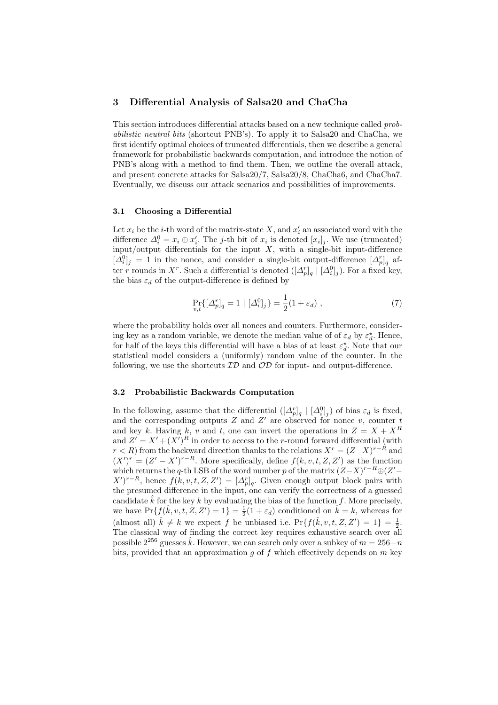# 3 Differential Analysis of Salsa20 and ChaCha

This section introduces differential attacks based on a new technique called probabilistic neutral bits (shortcut PNB's). To apply it to Salsa20 and ChaCha, we first identify optimal choices of truncated differentials, then we describe a general framework for probabilistic backwards computation, and introduce the notion of PNB's along with a method to find them. Then, we outline the overall attack, and present concrete attacks for Salsa20/7, Salsa20/8, ChaCha6, and ChaCha7. Eventually, we discuss our attack scenarios and possibilities of improvements.

## 3.1 Choosing a Differential

Let  $x_i$  be the *i*-th word of the matrix-state X, and  $x'_i$  an associated word with the difference  $\Delta_i^0 = x_i \oplus x'_i$ . The *j*-th bit of  $x_i$  is denoted  $[x_i]_j$ . We use (truncated) input/output differentials for the input  $X$ , with a single-bit input-difference  $[\Delta_i^0]_j = 1$  in the nonce, and consider a single-bit output-difference  $[\Delta_p^r]_q$  after r rounds in X<sup>r</sup>. Such a differential is denoted  $(\lfloor \Delta_p^r \rfloor_q | \lfloor \Delta_i^0 \rfloor_j)$ . For a fixed key, the bias  $\varepsilon_d$  of the output-difference is defined by

$$
\Pr_{v,t} \{ [\Delta_p^r]_q = 1 \mid [\Delta_i^0]_j \} = \frac{1}{2} (1 + \varepsilon_d) \;, \tag{7}
$$

where the probability holds over all nonces and counters. Furthermore, considering key as a random variable, we denote the median value of of  $\varepsilon_d$  by  $\varepsilon_d^*$ . Hence, for half of the keys this differential will have a bias of at least  $\varepsilon_d^*$ . Note that our statistical model considers a (uniformly) random value of the counter. In the following, we use the shortcuts  $\mathcal{ID}$  and  $\mathcal{OD}$  for input- and output-difference.

#### 3.2 Probabilistic Backwards Computation

In the following, assume that the differential  $([\Delta_p^r]_q \mid [\Delta_i^0]_j)$  of bias  $\varepsilon_d$  is fixed, and the corresponding outputs  $Z$  and  $Z'$  are observed for nonce v, counter t and key k. Having k, v and t, one can invert the operations in  $Z = X + X<sup>R</sup>$ and  $Z' = X' + (X')^R$  in order to access to the r-round forward differential (with  $r < R$ ) from the backward direction thanks to the relations  $X^r = (Z - X)^{r-R}$  and  $(X')^r = (Z' - X')^{r-R}$ . More specifically, define  $f(k, v, t, Z, Z')$  as the function which returns the q-th LSB of the word number p of the matrix  $(Z-X)^{r-R} \oplus (Z'-\mathbb{R})$  $(X')^{r-R}$ , hence  $f(k, v, t, Z, Z') = [\Delta_p^r]_q$ . Given enough output block pairs with the presumed difference in the input, one can verify the correctness of a guessed candidate  $\hat{k}$  for the key k by evaluating the bias of the function f. More precisely, we have  $\Pr\{f(\hat{k}, v, t, Z, Z') = 1\} = \frac{1}{2}(1 + \varepsilon_d)$  conditioned on  $\hat{k} = k$ , whereas for (almost all)  $\hat{k} \neq k$  we expect f be unbiased i.e.  $Pr{f(\hat{k}, v, t, Z, Z') = 1} = \frac{1}{2}$ . The classical way of finding the correct key requires exhaustive search over all possible  $2^{256}$  guesses  $\hat{k}$ . However, we can search only over a subkey of  $m = 256-n$ bits, provided that an approximation q of f which effectively depends on  $m$  key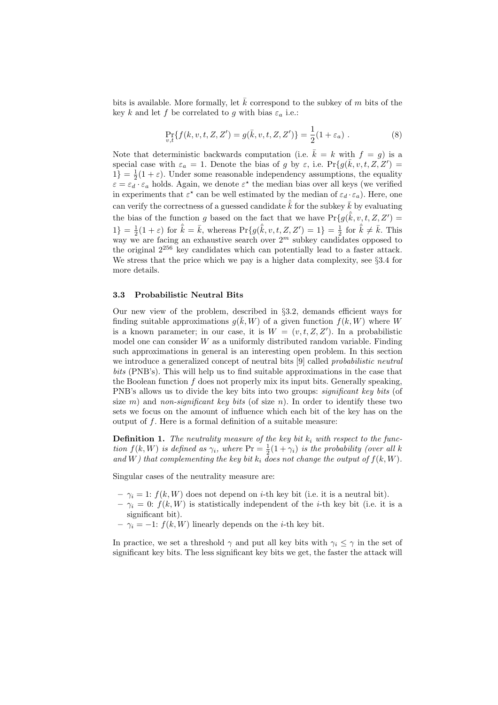bits is available. More formally, let  $\overline{k}$  correspond to the subkey of m bits of the key k and let f be correlated to g with bias  $\varepsilon_a$  i.e.:

$$
\Pr_{v,t} \{ f(k, v, t, Z, Z') = g(\bar{k}, v, t, Z, Z') \} = \frac{1}{2} (1 + \varepsilon_a) .
$$
 (8)

Note that deterministic backwards computation (i.e.  $\bar{k} = k$  with  $f = g$ ) is a special case with  $\varepsilon_a = 1$ . Denote the bias of g by  $\varepsilon$ , i.e.  $Pr\{g(\bar{k}, v, t, Z, Z')\}$  $1$ } =  $\frac{1}{2}(1+\varepsilon)$ . Under some reasonable independency assumptions, the equality  $\varepsilon = \varepsilon_d \cdot \varepsilon_a$  holds. Again, we denote  $\varepsilon^*$  the median bias over all keys (we verified in experiments that  $\varepsilon^*$  can be well estimated by the median of  $\varepsilon_d \cdot \varepsilon_a$ ). Here, one can verify the correctness of a guessed candidate  $\hat{\overline{k}}$  for the subkey  $\overline{k}$  by evaluating the bias of the function g based on the fact that we have  $\Pr\{g(\hat{k}, v, t, Z, Z')\}$  $1\} = \frac{1}{2}(1+\varepsilon)$  for  $\hat{k} = \bar{k}$ , whereas  $\Pr\{g(\hat{k}, v, t, Z, Z') = 1\} = \frac{1}{2}$  for  $\hat{k} \neq \bar{k}$ . This way we are facing an exhaustive search over  $2^m$  subkey candidates opposed to the original 2<sup>256</sup> key candidates which can potentially lead to a faster attack. We stress that the price which we pay is a higher data complexity, see §3.4 for more details.

#### 3.3 Probabilistic Neutral Bits

Our new view of the problem, described in §3.2, demands efficient ways for finding suitable approximations  $g(\bar{k}, W)$  of a given function  $f(k, W)$  where W is a known parameter; in our case, it is  $W = (v, t, Z, Z')$ . In a probabilistic model one can consider  $W$  as a uniformly distributed random variable. Finding such approximations in general is an interesting open problem. In this section we introduce a generalized concept of neutral bits [9] called *probabilistic neutral* bits (PNB's). This will help us to find suitable approximations in the case that the Boolean function  $f$  does not properly mix its input bits. Generally speaking, PNB's allows us to divide the key bits into two groups: *significant key bits* (of size m) and non-significant key bits (of size n). In order to identify these two sets we focus on the amount of influence which each bit of the key has on the output of  $f$ . Here is a formal definition of a suitable measure:

**Definition 1.** The neutrality measure of the key bit  $k_i$  with respect to the function  $f(k, W)$  is defined as  $\gamma_i$ , where  $\Pr = \frac{1}{2}(1 + \gamma_i)$  is the probability (over all k and W) that complementing the key bit  $k_i$  does not change the output of  $f(k, W)$ .

Singular cases of the neutrality measure are:

- $-\gamma_i = 1: f(k, W)$  does not depend on *i*-th key bit (i.e. it is a neutral bit).
- $-\gamma_i = 0: f(k, W)$  is statistically independent of the *i*-th key bit (i.e. it is a significant bit).
- $\gamma_i = -1$ :  $f(k, W)$  linearly depends on the *i*-th key bit.

In practice, we set a threshold  $\gamma$  and put all key bits with  $\gamma_i \leq \gamma$  in the set of significant key bits. The less significant key bits we get, the faster the attack will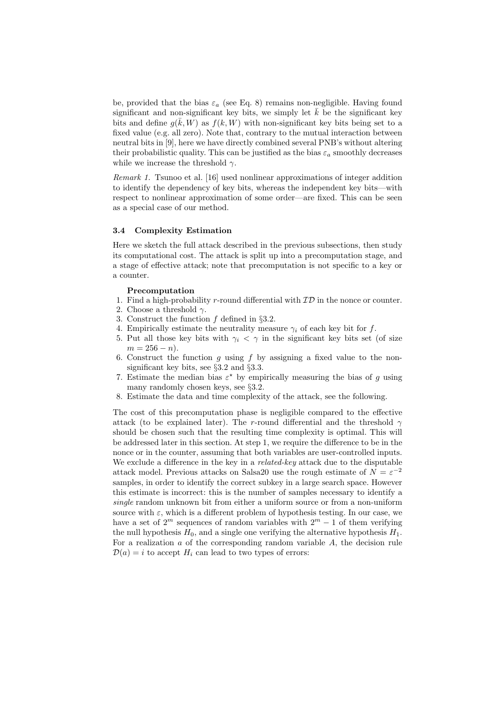be, provided that the bias  $\varepsilon_a$  (see Eq. 8) remains non-negligible. Having found significant and non-significant key bits, we simply let  $k$  be the significant key bits and define  $g(\bar{k}, \bar{W})$  as  $f(k, \bar{W})$  with non-significant key bits being set to a fixed value (e.g. all zero). Note that, contrary to the mutual interaction between neutral bits in [9], here we have directly combined several PNB's without altering their probabilistic quality. This can be justified as the bias  $\varepsilon_a$  smoothly decreases while we increase the threshold  $\gamma$ .

Remark 1. Tsunoo et al. [16] used nonlinear approximations of integer addition to identify the dependency of key bits, whereas the independent key bits—with respect to nonlinear approximation of some order—are fixed. This can be seen as a special case of our method.

## 3.4 Complexity Estimation

Here we sketch the full attack described in the previous subsections, then study its computational cost. The attack is split up into a precomputation stage, and a stage of effective attack; note that precomputation is not specific to a key or a counter.

#### Precomputation

- 1. Find a high-probability r-round differential with  $\mathcal{ID}$  in the nonce or counter.
- 2. Choose a threshold  $\gamma$ .
- 3. Construct the function f defined in §3.2.
- 4. Empirically estimate the neutrality measure  $\gamma_i$  of each key bit for f.
- 5. Put all those key bits with  $\gamma_i < \gamma$  in the significant key bits set (of size  $m = 256 - n$ .
- 6. Construct the function  $g$  using  $f$  by assigning a fixed value to the nonsignificant key bits, see §3.2 and §3.3.
- 7. Estimate the median bias  $\varepsilon^*$  by empirically measuring the bias of g using many randomly chosen keys, see §3.2.
- 8. Estimate the data and time complexity of the attack, see the following.

The cost of this precomputation phase is negligible compared to the effective attack (to be explained later). The r-round differential and the threshold  $\gamma$ should be chosen such that the resulting time complexity is optimal. This will be addressed later in this section. At step 1, we require the difference to be in the nonce or in the counter, assuming that both variables are user-controlled inputs. We exclude a difference in the key in a *related-key* attack due to the disputable attack model. Previous attacks on Salsa 20 use the rough estimate of  $N = \varepsilon^{-2}$ samples, in order to identify the correct subkey in a large search space. However this estimate is incorrect: this is the number of samples necessary to identify a single random unknown bit from either a uniform source or from a non-uniform source with  $\varepsilon$ , which is a different problem of hypothesis testing. In our case, we have a set of  $2^m$  sequences of random variables with  $2^m - 1$  of them verifying the null hypothesis  $H_0$ , and a single one verifying the alternative hypothesis  $H_1$ . For a realization  $\alpha$  of the corresponding random variable  $A$ , the decision rule  $\mathcal{D}(a) = i$  to accept  $H_i$  can lead to two types of errors: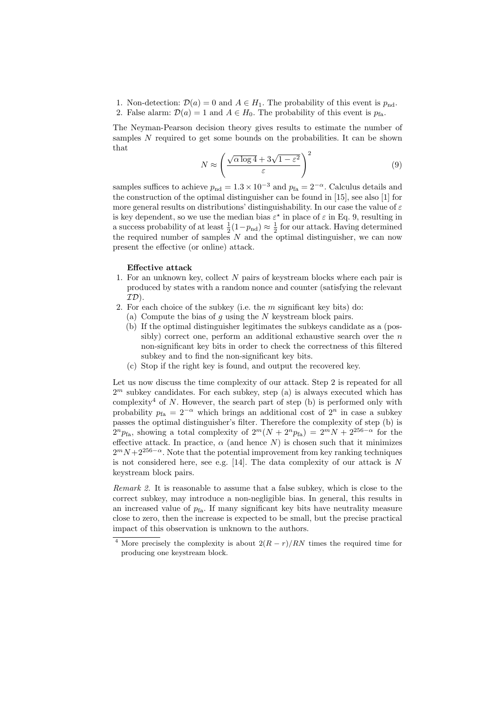- 1. Non-detection:  $\mathcal{D}(a) = 0$  and  $A \in H_1$ . The probability of this event is  $p_{nd}$ .
- 2. False alarm:  $\mathcal{D}(a) = 1$  and  $A \in H_0$ . The probability of this event is  $p_{fa}$ .

The Neyman-Pearson decision theory gives results to estimate the number of samples N required to get some bounds on the probabilities. It can be shown that  $√$  $\sqrt{2}$ 

$$
N \approx \left(\frac{\sqrt{\alpha \log 4} + 3\sqrt{1 - \varepsilon^2}}{\varepsilon}\right)^2\tag{9}
$$

samples suffices to achieve  $p_{\text{nd}} = 1.3 \times 10^{-3}$  and  $p_{\text{fa}} = 2^{-\alpha}$ . Calculus details and the construction of the optimal distinguisher can be found in [15], see also [1] for more general results on distributions' distinguishability. In our case the value of  $\varepsilon$ is key dependent, so we use the median bias  $\varepsilon^*$  in place of  $\varepsilon$  in Eq. 9, resulting in a success probability of at least  $\frac{1}{2}(1-p_{\text{nd}}) \approx \frac{1}{2}$  for our attack. Having determined the required number of samples  $N$  and the optimal distinguisher, we can now present the effective (or online) attack.

## Effective attack

- 1. For an unknown key, collect N pairs of keystream blocks where each pair is produced by states with a random nonce and counter (satisfying the relevant  $\mathcal{ID}$ ).
- 2. For each choice of the subkey (i.e. the  $m$  significant key bits) do:
	- (a) Compute the bias of q using the  $N$  keystream block pairs.
	- (b) If the optimal distinguisher legitimates the subkeys candidate as a (possibly) correct one, perform an additional exhaustive search over the  $n$ non-significant key bits in order to check the correctness of this filtered subkey and to find the non-significant key bits.
	- (c) Stop if the right key is found, and output the recovered key.

Let us now discuss the time complexity of our attack. Step 2 is repeated for all  $2<sup>m</sup>$  subkey candidates. For each subkey, step (a) is always executed which has complexity<sup>4</sup> of N. However, the search part of step (b) is performed only with probability  $p_{fa} = 2^{-\alpha}$  which brings an additional cost of  $2^n$  in case a subkey passes the optimal distinguisher's filter. Therefore the complexity of step (b) is  $2^{n}p_{\text{fa}}$ , showing a total complexity of  $2^{m}(N + 2^{n}p_{\text{fa}}) = 2^{m}N + 2^{256-\alpha}$  for the effective attack. In practice,  $\alpha$  (and hence N) is chosen such that it minimizes  $2^{m}N+2^{256-\alpha}$ . Note that the potential improvement from key ranking techniques is not considered here, see e.g.  $[14]$ . The data complexity of our attack is N keystream block pairs.

Remark 2. It is reasonable to assume that a false subkey, which is close to the correct subkey, may introduce a non-negligible bias. In general, this results in an increased value of  $p_{fa}$ . If many significant key bits have neutrality measure close to zero, then the increase is expected to be small, but the precise practical impact of this observation is unknown to the authors.

<sup>&</sup>lt;sup>4</sup> More precisely the complexity is about  $2(R - r)/RN$  times the required time for producing one keystream block.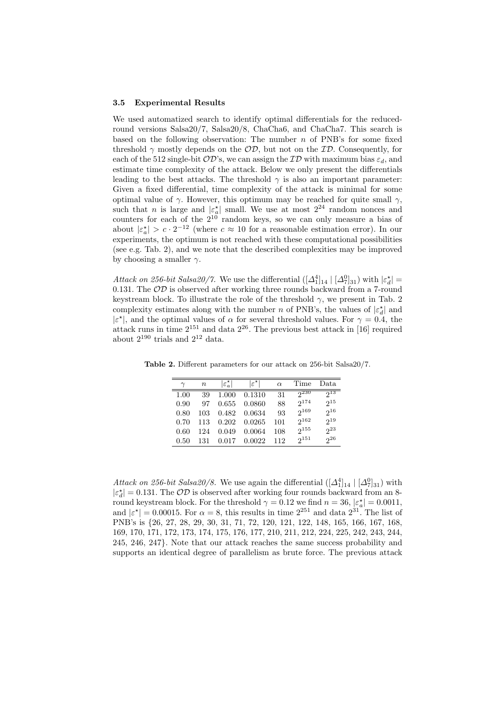#### 3.5 Experimental Results

We used automatized search to identify optimal differentials for the reducedround versions Salsa20/7, Salsa20/8, ChaCha6, and ChaCha7. This search is based on the following observation: The number  $n$  of PNB's for some fixed threshold  $\gamma$  mostly depends on the  $\mathcal{OD}$ , but not on the  $\mathcal{ID}$ . Consequently, for each of the 512 single-bit  $OD$ 's, we can assign the  $ID$  with maximum bias  $\varepsilon_d$ , and estimate time complexity of the attack. Below we only present the differentials leading to the best attacks. The threshold  $\gamma$  is also an important parameter: Given a fixed differential, time complexity of the attack is minimal for some optimal value of  $\gamma$ . However, this optimum may be reached for quite small  $\gamma$ , such that *n* is large and  $|\varepsilon_a^*|$  small. We use at most  $2^{24}$  random nonces and counters for each of the  $2^{10}$  random keys, so we can only measure a bias of about  $|\varepsilon_a^*| > c \cdot 2^{-12}$  (where  $c \approx 10$  for a reasonable estimation error). In our experiments, the optimum is not reached with these computational possibilities (see e.g. Tab. 2), and we note that the described complexities may be improved by choosing a smaller  $\gamma$ .

Attack on 256-bit Salsa20/7. We use the differential  $([\Delta_1^4]_{14} | [\Delta_7^0]_{31})$  with  $|\varepsilon_d^*|$  = 0.131. The  $OD$  is observed after working three rounds backward from a 7-round keystream block. To illustrate the role of the threshold  $\gamma$ , we present in Tab. 2 complexity estimates along with the number n of PNB's, the values of  $|\varepsilon_d^{\star}|$  and  $|\varepsilon^{\star}|$ , and the optimal values of  $\alpha$  for several threshold values. For  $\gamma = 0.4$ , the attack runs in time  $2^{151}$  and data  $2^{26}$ . The previous best attack in [16] required about  $2^{190}$  trials and  $2^{12}$  data.

|      | $\, n$ | $ \varepsilon^{\star}_{a} $ | $ \varepsilon^{\star} $ | $\alpha$ | Time      | Data     |
|------|--------|-----------------------------|-------------------------|----------|-----------|----------|
| 1.00 | 39     | 1.000                       | 0.1310                  | 31       | $2^{230}$ | $2^{13}$ |
| 0.90 | 97     | 0.655                       | 0.0860                  | 88       | 2174      | $2^{15}$ |
| 0.80 | 103    | 0.482                       | 0.0634                  | 93       | $2^{169}$ | $2^{16}$ |
| 0.70 | 113    | 0.202                       | 0.0265                  | 101      | $2^{162}$ | $2^{19}$ |
| 0.60 | 124    | 0.049                       | 0.0064                  | 108      | $2^{155}$ | $2^{23}$ |
| 0.50 | 131    | 0.017                       | 0.0022                  | 112      | $2^{151}$ | $2^{26}$ |

Table 2. Different parameters for our attack on 256-bit Salsa20/7.

Attack on 256-bit Salsa20/8. We use again the differential  $([\Delta_1^4]_{14} | [\Delta_7^0]_{31})$  with  $|\varepsilon_d^\star| = 0.131.$  The  $\mathcal{OD}$  is observed after working four rounds backward from an 8round keystream block. For the threshold  $\gamma = 0.12$  we find  $n = 36$ ,  $|\varepsilon_a^{\star}| = 0.0011$ , and  $|\varepsilon^*| = 0.00015$ . For  $\alpha = 8$ , this results in time  $2^{251}$  and data  $2^{31}$ . The list of PNB's is {26, 27, 28, 29, 30, 31, 71, 72, 120, 121, 122, 148, 165, 166, 167, 168, 169, 170, 171, 172, 173, 174, 175, 176, 177, 210, 211, 212, 224, 225, 242, 243, 244, 245, 246, 247}. Note that our attack reaches the same success probability and supports an identical degree of parallelism as brute force. The previous attack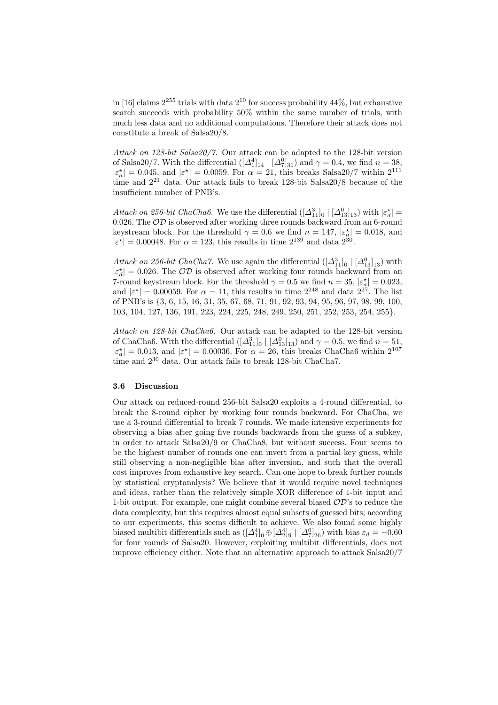in [16] claims  $2^{255}$  trials with data  $2^{10}$  for success probability 44%, but exhaustive search succeeds with probability 50% within the same number of trials, with much less data and no additional computations. Therefore their attack does not constitute a break of Salsa20/8.

Attack on 128-bit Salsa20/7. Our attack can be adapted to the 128-bit version of Salsa20/7. With the differential  $([\Delta_1^4]_{14} | [\Delta_7^0]_{31})$  and  $\gamma = 0.4$ , we find  $n = 38$ ,  $|\varepsilon_a^*| = 0.045$ , and  $|\varepsilon^*| = 0.0059$ . For  $\alpha = 21$ , this breaks Salsa 20/7 within  $2^{111}$ time and  $2^{21}$  data. Our attack fails to break 128-bit Salsa  $20/8$  because of the insufficient number of PNB's.

Attack on 256-bit ChaCha6. We use the differential  $([\Delta_{11}^3]_0 | [\Delta_{13}^0]_{13})$  with  $|\varepsilon_d^*|$  = 0.026. The  $OD$  is observed after working three rounds backward from an 6-round keystream block. For the threshold  $\gamma = 0.6$  we find  $n = 147$ ,  $|\varepsilon_a^*| = 0.018$ , and  $|\varepsilon^*| = 0.00048$ . For  $\alpha = 123$ , this results in time  $2^{139}$  and data  $2^{30}$ .

Attack on 256-bit ChaCha7. We use again the differential  $([\Delta_{11}^3]_0 | [\Delta_{13}^0]_{13})$  with  $|\varepsilon_d^{\star}| = 0.026$ . The  $\mathcal{OD}$  is observed after working four rounds backward from an 7-round keystream block. For the threshold  $\gamma = 0.5$  we find  $n = 35$ ,  $|\varepsilon_a^*| = 0.023$ , and  $|\varepsilon^*| = 0.00059$ . For  $\alpha = 11$ , this results in time  $2^{248}$  and data  $2^{27}$ . The list of PNB's is {3, 6, 15, 16, 31, 35, 67, 68, 71, 91, 92, 93, 94, 95, 96, 97, 98, 99, 100, 103, 104, 127, 136, 191, 223, 224, 225, 248, 249, 250, 251, 252, 253, 254, 255}.

Attack on 128-bit ChaCha6. Our attack can be adapted to the 128-bit version of ChaCha6. With the differential  $([\Delta_{11}^3]_0 | [\Delta_{13}^0]_{13})$  and  $\gamma = 0.5$ , we find  $n = 51$ ,  $|\varepsilon_a^*| = 0.013$ , and  $|\varepsilon^*| = 0.00036$ . For  $\alpha = 26$ , this breaks ChaCha6 within  $2^{107}$ time and  $2^{30}$  data. Our attack fails to break 128-bit ChaCha7.

## 3.6 Discussion

Our attack on reduced-round 256-bit Salsa20 exploits a 4-round differential, to break the 8-round cipher by working four rounds backward. For ChaCha, we use a 3-round differential to break 7 rounds. We made intensive experiments for observing a bias after going five rounds backwards from the guess of a subkey, in order to attack Salsa20/9 or ChaCha8, but without success. Four seems to be the highest number of rounds one can invert from a partial key guess, while still observing a non-negligible bias after inversion, and such that the overall cost improves from exhaustive key search. Can one hope to break further rounds by statistical cryptanalysis? We believe that it would require novel techniques and ideas, rather than the relatively simple XOR difference of 1-bit input and 1-bit output. For example, one might combine several biased  $OD$ 's to reduce the data complexity, but this requires almost equal subsets of guessed bits; according to our experiments, this seems difficult to achieve. We also found some highly biased multibit differentials such as  $([\Delta_1^4]_0 \oplus [\Delta_2^4]_9 | [\Delta_7^0]_{26})$  with bias  $\varepsilon_d = -0.60$ for four rounds of Salsa20. However, exploiting multibit differentials, does not improve efficiency either. Note that an alternative approach to attack Salsa20/7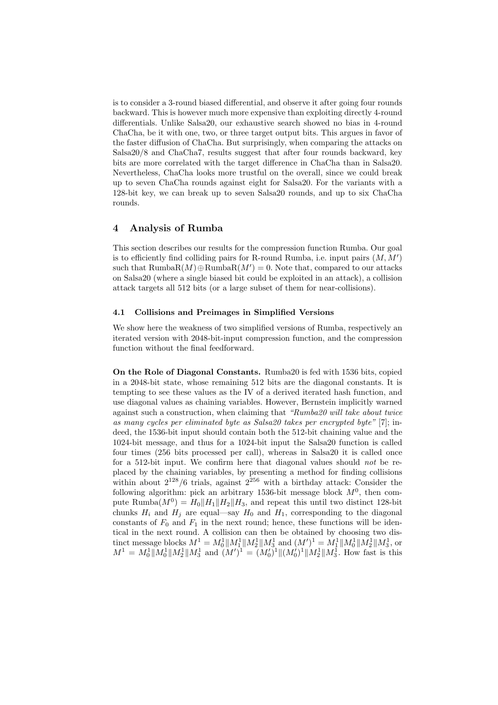is to consider a 3-round biased differential, and observe it after going four rounds backward. This is however much more expensive than exploiting directly 4-round differentials. Unlike Salsa20, our exhaustive search showed no bias in 4-round ChaCha, be it with one, two, or three target output bits. This argues in favor of the faster diffusion of ChaCha. But surprisingly, when comparing the attacks on Salsa20/8 and ChaCha7, results suggest that after four rounds backward, key bits are more correlated with the target difference in ChaCha than in Salsa20. Nevertheless, ChaCha looks more trustful on the overall, since we could break up to seven ChaCha rounds against eight for Salsa20. For the variants with a 128-bit key, we can break up to seven Salsa20 rounds, and up to six ChaCha rounds.

# 4 Analysis of Rumba

This section describes our results for the compression function Rumba. Our goal is to efficiently find colliding pairs for R-round Rumba, i.e. input pairs  $(M, M')$ such that  $\text{RumbaR}(M) \oplus \text{RumbaR}(M') = 0$ . Note that, compared to our attacks on Salsa20 (where a single biased bit could be exploited in an attack), a collision attack targets all 512 bits (or a large subset of them for near-collisions).

## 4.1 Collisions and Preimages in Simplified Versions

We show here the weakness of two simplified versions of Rumba, respectively an iterated version with 2048-bit-input compression function, and the compression function without the final feedforward.

On the Role of Diagonal Constants. Rumba20 is fed with 1536 bits, copied in a 2048-bit state, whose remaining 512 bits are the diagonal constants. It is tempting to see these values as the IV of a derived iterated hash function, and use diagonal values as chaining variables. However, Bernstein implicitly warned against such a construction, when claiming that "Rumba20 will take about twice as many cycles per eliminated byte as Salsa20 takes per encrypted byte" [7]; indeed, the 1536-bit input should contain both the 512-bit chaining value and the 1024-bit message, and thus for a 1024-bit input the Salsa20 function is called four times (256 bits processed per call), whereas in Salsa20 it is called once for a 512-bit input. We confirm here that diagonal values should not be replaced by the chaining variables, by presenting a method for finding collisions within about  $2^{128}/6$  trials, against  $2^{256}$  with a birthday attack: Consider the following algorithm: pick an arbitrary 1536-bit message block  $M<sup>0</sup>$ , then compute Rumba $(M^0) = H_0||H_1||H_2||H_3$ , and repeat this until two distinct 128-bit chunks  $H_i$  and  $H_j$  are equal—say  $H_0$  and  $H_1$ , corresponding to the diagonal constants of  $F_0$  and  $F_1$  in the next round; hence, these functions will be identical in the next round. A collision can then be obtained by choosing two distinct message blocks  $M^1 = M_0^1 ||M_1^1 ||M_2^1 ||M_3^1$  and  $(M')^1 = M_1^1 ||M_0^1 ||M_2^1 ||M_3^1$ , or  $M^1 = M_0^1 ||M_0^1 ||M_2^1 ||M_3^1$  and  $(M')^1 = (M_0')^1 ||(M_0')^1 ||M_2^1 ||M_3^1$ . How fast is this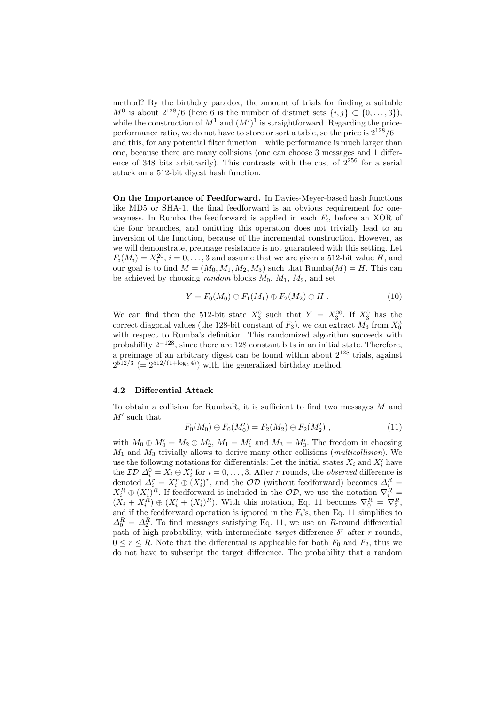method? By the birthday paradox, the amount of trials for finding a suitable  $M^0$  is about  $2^{128}/6$  (here 6 is the number of distinct sets  $\{i, j\} \subset \{0, \ldots, 3\}$ ), while the construction of  $M^1$  and  $(M')^1$  is straightforward. Regarding the priceperformance ratio, we do not have to store or sort a table, so the price is  $2^{128}/6$  and this, for any potential filter function—while performance is much larger than one, because there are many collisions (one can choose 3 messages and 1 difference of 348 bits arbitrarily). This contrasts with the cost of  $2^{256}$  for a serial attack on a 512-bit digest hash function.

On the Importance of Feedforward. In Davies-Meyer-based hash functions like MD5 or SHA-1, the final feedforward is an obvious requirement for onewayness. In Rumba the feedforward is applied in each  $F_i$ , before an XOR of the four branches, and omitting this operation does not trivially lead to an inversion of the function, because of the incremental construction. However, as we will demonstrate, preimage resistance is not guaranteed with this setting. Let  $F_i(M_i) = X_i^{20}, i = 0, \ldots, 3$  and assume that we are given a 512-bit value H, and our goal is to find  $M = (M_0, M_1, M_2, M_3)$  such that  $\text{Rumba}(M) = H$ . This can be achieved by choosing *random* blocks  $M_0$ ,  $M_1$ ,  $M_2$ , and set

$$
Y = F_0(M_0) \oplus F_1(M_1) \oplus F_2(M_2) \oplus H . \tag{10}
$$

We can find then the 512-bit state  $X_3^0$  such that  $Y = X_3^{20}$ . If  $X_3^0$  has the correct diagonal values (the 128-bit constant of  $F_3$ ), we can extract  $M_3$  from  $X_0^3$ with respect to Rumba's definition. This randomized algorithm succeeds with probability  $2^{-128}$ , since there are 128 constant bits in an initial state. Therefore, a preimage of an arbitrary digest can be found within about  $2^{128}$  trials, against  $2^{512/3}$  (=  $2^{512/(1+\log_2 4)}$ ) with the generalized birthday method.

# 4.2 Differential Attack

To obtain a collision for RumbaR, it is sufficient to find two messages  $M$  and  $M'$  such that

$$
F_0(M_0) \oplus F_0(M'_0) = F_2(M_2) \oplus F_2(M'_2) , \qquad (11)
$$

with  $M_0 \oplus M'_0 = M_2 \oplus M'_2$ ,  $M_1 = M'_1$  and  $M_3 = M'_3$ . The freedom in choosing  $M_1$  and  $M_3$  trivially allows to derive many other collisions (*multicollision*). We use the following notations for differentials: Let the initial states  $X_i$  and  $X'_i$  have the  $\mathcal{ID} \Delta_i^0 = X_i \oplus X'_i$  for  $i = 0, \ldots, 3$ . After r rounds, the *observed* difference is denoted  $\Delta_i^r = X_i^r \oplus (X_i')^r$ , and the  $\mathcal{OD}$  (without feedforward) becomes  $\Delta_i^R =$  $X_i^R \oplus (X_i')^R$ . If feedforward is included in the  $\mathcal{OD}$ , we use the notation  $\nabla_i^R =$  $(X_i + X_i^R) \oplus (X_i' + (X_i')^R)$ . With this notation, Eq. 11 becomes  $\nabla_0^R = \nabla_2^R$ , and if the feedforward operation is ignored in the  $F_i$ 's, then Eq. 11 simplifies to  $\Delta_0^R = \Delta_2^R$ . To find messages satisfying Eq. 11, we use an R-round differential path of high-probability, with intermediate *target* difference  $\delta^r$  after r rounds,  $0 \leq r \leq R$ . Note that the differential is applicable for both  $F_0$  and  $F_2$ , thus we do not have to subscript the target difference. The probability that a random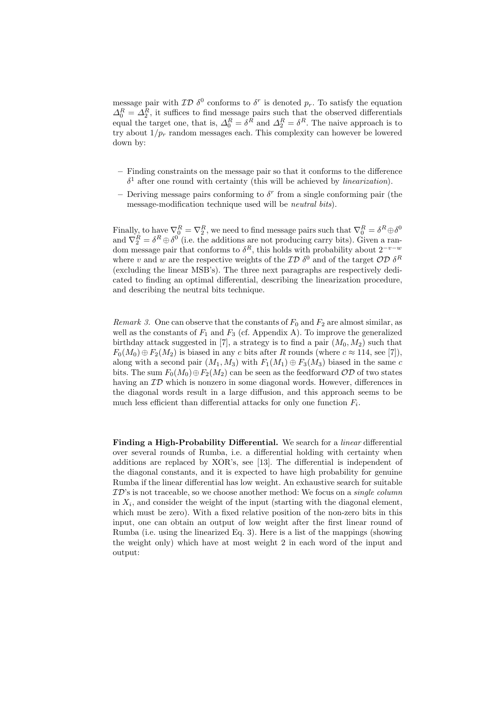message pair with  $\mathcal{ID} \ \delta^0$  conforms to  $\delta^r$  is denoted  $p_r$ . To satisfy the equation  $\Delta_0^R = \Delta_2^R$ , it suffices to find message pairs such that the observed differentials equal the target one, that is,  $\Delta_0^R = \delta^R$  and  $\Delta_2^R = \delta^R$ . The naive approach is to try about  $1/p_r$  random messages each. This complexity can however be lowered down by:

- Finding constraints on the message pair so that it conforms to the difference  $\delta^1$  after one round with certainty (this will be achieved by *linearization*).
- Deriving message pairs conforming to  $\delta^r$  from a single conforming pair (the message-modification technique used will be neutral bits).

Finally, to have  $\nabla_0^R = \nabla_2^R$ , we need to find message pairs such that  $\nabla_0^R = \delta^R \oplus \delta^0$ and  $\nabla_2^R = \delta^R \oplus \delta^0$  (i.e. the additions are not producing carry bits). Given a random message pair that conforms to  $\delta^R$ , this holds with probability about  $2^{-v-w}$ where v and w are the respective weights of the  $\mathcal{ID} \delta^0$  and of the target  $\mathcal{OD} \delta^R$ (excluding the linear MSB's). The three next paragraphs are respectively dedicated to finding an optimal differential, describing the linearization procedure, and describing the neutral bits technique.

Remark 3. One can observe that the constants of  $F_0$  and  $F_2$  are almost similar, as well as the constants of  $F_1$  and  $F_3$  (cf. Appendix A). To improve the generalized birthday attack suggested in [7], a strategy is to find a pair  $(M_0, M_2)$  such that  $F_0(M_0) \oplus F_2(M_2)$  is biased in any c bits after R rounds (where  $c \approx 114$ , see [7]), along with a second pair  $(M_1, M_3)$  with  $F_1(M_1) \oplus F_3(M_3)$  biased in the same c bits. The sum  $F_0(M_0) \oplus F_2(M_2)$  can be seen as the feedforward  $OD$  of two states having an  $\mathcal{ID}$  which is nonzero in some diagonal words. However, differences in the diagonal words result in a large diffusion, and this approach seems to be much less efficient than differential attacks for only one function  $F_i$ .

Finding a High-Probability Differential. We search for a linear differential over several rounds of Rumba, i.e. a differential holding with certainty when additions are replaced by XOR's, see [13]. The differential is independent of the diagonal constants, and it is expected to have high probability for genuine Rumba if the linear differential has low weight. An exhaustive search for suitable  $\mathcal{ID}$ 's is not traceable, so we choose another method: We focus on a *single column* in  $X_i$ , and consider the weight of the input (starting with the diagonal element, which must be zero). With a fixed relative position of the non-zero bits in this input, one can obtain an output of low weight after the first linear round of Rumba (i.e. using the linearized Eq. 3). Here is a list of the mappings (showing the weight only) which have at most weight 2 in each word of the input and output: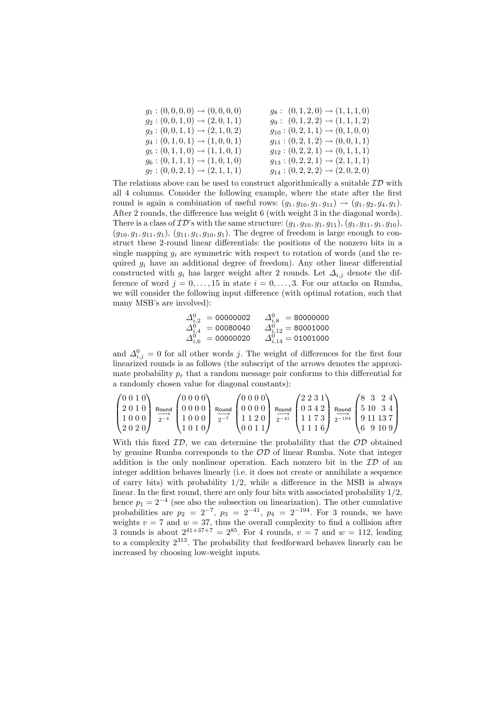| $g_1:(0,0,0,0)\to(0,0,0,0)$         | $g_8: (0,1,2,0) \rightarrow (1,1,1,0)$             |
|-------------------------------------|----------------------------------------------------|
| $g_2:(0,0,1,0)\rightarrow(2,0,1,1)$ | $g_9: (0,1,2,2) \rightarrow (1,1,1,2)$             |
| $g_3:(0,0,1,1)\rightarrow(2,1,0,2)$ | $g_{10}$ : $(0, 2, 1, 1) \rightarrow (0, 1, 0, 0)$ |
| $g_4:(0,1,0,1)\rightarrow(1,0,0,1)$ | $g_{11}$ : $(0, 2, 1, 2) \rightarrow (0, 0, 1, 1)$ |
| $g_5:(0,1,1,0)\rightarrow(1,1,0,1)$ | $g_{12}$ : $(0, 2, 2, 1) \rightarrow (0, 1, 1, 1)$ |
| $g_6:(0,1,1,1)\rightarrow(1,0,1,0)$ | $g_{13}$ : $(0, 2, 2, 1) \rightarrow (2, 1, 1, 1)$ |
| $g_7:(0,0,2,1)\rightarrow(2,1,1,1)$ | $g_{14}: (0,2,2,2) \rightarrow (2,0,2,0)$          |

The relations above can be used to construct algorithmically a suitable  $\mathcal{ID}$  with all 4 columns. Consider the following example, where the state after the first round is again a combination of useful rows:  $(g_1, g_{10}, g_1, g_{11}) \rightarrow (g_1, g_2, g_4, g_1)$ . After 2 rounds, the difference has weight 6 (with weight 3 in the diagonal words). There is a class of  $\mathcal{ID}$ 's with the same structure:  $(g_1, g_{10}, g_1, g_{11}), (g_1, g_{11}, g_1, g_{10}),$  $(g_{10}, g_1, g_{11}, g_1), (g_{11}, g_1, g_{10}, g_1)$ . The degree of freedom is large enough to construct these 2-round linear differentials: the positions of the nonzero bits in a single mapping  $q_i$  are symmetric with respect to rotation of words (and the required  $q_i$  have an additional degree of freedom). Any other linear differential constructed with  $g_i$  has larger weight after 2 rounds. Let  $\Delta_{i,j}$  denote the difference of word  $j = 0, \ldots, 15$  in state  $i = 0, \ldots, 3$ . For our attacks on Rumba, we will consider the following input difference (with optimal rotation, such that many MSB's are involved):

$$
\begin{array}{ccc} \varDelta^0_{i,2} & = 00000002 & \varDelta^0_{i,8} & = 80000000 \\ \varDelta^0_{i,4} & = 00080040 & \varDelta^0_{i,12} & = 80001000 \\ \varDelta^0_{i,6} & = 00000020 & \varDelta^0_{i,14} & = 01001000 \end{array}
$$

and  $\Delta_{i,j}^0 = 0$  for all other words j. The weight of differences for the first four linearized rounds is as follows (the subscript of the arrows denotes the approximate probability  $p_r$  that a random message pair conforms to this differential for a randomly chosen value for diagonal constants):

$$
\begin{pmatrix} 0 & 0 & 1 & 0 \\ 2 & 0 & 1 & 0 \\ 1 & 0 & 0 & 0 \\ 2 & 0 & 2 & 0 \end{pmatrix} \xrightarrow{\text{Round}} \begin{pmatrix} 0 & 0 & 0 & 0 \\ 0 & 0 & 0 & 0 \\ 1 & 0 & 0 & 0 \\ 1 & 0 & 1 & 0 \end{pmatrix} \xrightarrow{\text{Round}} \begin{pmatrix} 0 & 0 & 0 & 0 \\ 0 & 0 & 0 & 0 \\ 1 & 1 & 2 & 0 \\ 0 & 0 & 1 & 1 \end{pmatrix} \xrightarrow{\text{Round}} \begin{pmatrix} 2 & 2 & 3 & 1 \\ 0 & 3 & 4 & 2 \\ 1 & 1 & 7 & 3 \\ 1 & 1 & 1 & 6 \end{pmatrix} \xrightarrow{\text{Round}} \begin{pmatrix} 8 & 3 & 2 & 4 \\ 5 & 10 & 3 & 4 \\ 9 & 11 & 13 & 7 \\ 6 & 9 & 10 & 9 \end{pmatrix}
$$

With this fixed  $ID$ , we can determine the probability that the  $OD$  obtained by genuine Rumba corresponds to the  $OD$  of linear Rumba. Note that integer addition is the only nonlinear operation. Each nonzero bit in the  $\mathcal{ID}$  of an integer addition behaves linearly (i.e. it does not create or annihilate a sequence of carry bits) with probability  $1/2$ , while a difference in the MSB is always linear. In the first round, there are only four bits with associated probability 1/2, hence  $p_1 = 2^{-4}$  (see also the subsection on linearization). The other cumulative probabilities are  $p_2 = 2^{-7}$ ,  $p_3 = 2^{-41}$ ,  $p_4 = 2^{-194}$ . For 3 rounds, we have weights  $v = 7$  and  $w = 37$ , thus the overall complexity to find a collision after 3 rounds is about  $2^{41+37+7} = 2^{85}$ . For 4 rounds,  $v = 7$  and  $w = 112$ , leading to a complexity  $2^{313}$ . The probability that feedforward behaves linearly can be increased by choosing low-weight inputs.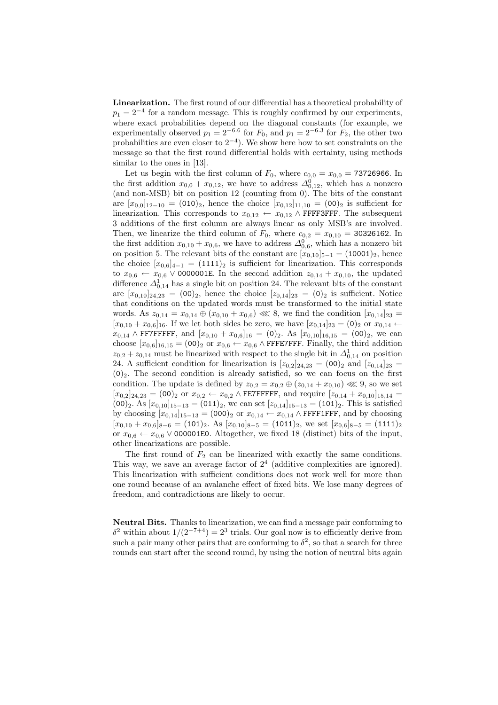Linearization. The first round of our differential has a theoretical probability of  $p_1 = 2^{-4}$  for a random message. This is roughly confirmed by our experiments, where exact probabilities depend on the diagonal constants (for example, we experimentally observed  $p_1 = 2^{-6.6}$  for  $F_0$ , and  $p_1 = 2^{-6.3}$  for  $F_2$ , the other two probabilities are even closer to  $2^{-4}$ ). We show here how to set constraints on the message so that the first round differential holds with certainty, using methods similar to the ones in [13].

Let us begin with the first column of  $F_0$ , where  $c_{0,0} = x_{0,0} = 73726966$ . In the first addition  $x_{0,0} + x_{0,12}$ , we have to address  $\Delta_{0,12}^0$ , which has a nonzero (and non-MSB) bit on position 12 (counting from 0). The bits of the constant are  $[x_{0,0}]_{12-10} = (010)_2$ , hence the choice  $[x_{0,12}]_{11,10} = (00)_2$  is sufficient for linearization. This corresponds to  $x_{0,12} \leftarrow x_{0,12} \wedge \text{FFFFSFF}$ . The subsequent 3 additions of the first column are always linear as only MSB's are involved. Then, we linearize the third column of  $F_0$ , where  $c_{0,2} = x_{0,10} = 30326162$ . In the first addition  $x_{0,10} + x_{0,6}$ , we have to address  $\Delta_{0,6}^{0}$ , which has a nonzero bit on position 5. The relevant bits of the constant are  $[x_{0,10}]_{5-1} = (10001)_2$ , hence the choice  $[x_{0.6}]_{4-1} = (1111)_2$  is sufficient for linearization. This corresponds to  $x_{0,6} \leftarrow x_{0,6} \vee$  0000001E. In the second addition  $z_{0,14} + x_{0,10}$ , the updated difference  $\Delta_{0,14}^1$  has a single bit on position 24. The relevant bits of the constant are  $[x_{0,10}]_{24,23} = (00)_2$ , hence the choice  $[z_{0,14}]_{23} = (0)_2$  is sufficient. Notice that conditions on the updated words must be transformed to the initial state words. As  $z_{0,14} = x_{0,14} \oplus (x_{0,10} + x_{0,6}) \ll 8$ , we find the condition  $[x_{0,14}]_{23} =$  $[x_{0,10} + x_{0,6}]_{16}$ . If we let both sides be zero, we have  $[x_{0,14}]_{23} = (0)_2$  or  $x_{0,14} \leftarrow$  $x_{0,14} \wedge \text{FFTFFT}$ , and  $[x_{0,10} + x_{0,6}]_{16} = (0)_2$ . As  $[x_{0,10}]_{16,15} = (0)_2$ , we can choose  $[x_{0,6}]_{16,15} = (00)_2$  or  $x_{0,6} \leftarrow x_{0,6} \wedge \text{FFFZFFF}$ . Finally, the third addition  $z_{0,2} + z_{0,14}$  must be linearized with respect to the single bit in  $\Delta_{0,14}^1$  on position 24. A sufficient condition for linearization is  $[z_{0,2}]_{24,23} = (00)_2$  and  $[z_{0,14}]_{23} =$  $(0)_2$ . The second condition is already satisfied, so we can focus on the first condition. The update is defined by  $z_{0,2} = x_{0,2} \oplus (z_{0,14} + x_{0,10}) \ll 9$ , so we set  $[x_{0,2}]_{24,23} = (00)_2$  or  $x_{0,2} \leftarrow x_{0,2} \wedge \text{FE7FFF}$ , and require  $[z_{0,14} + x_{0,10}]_{15,14} =$  $(00)_2$ . As  $[x_{0,10}]_{15-13} = (011)_2$ , we can set  $[z_{0,14}]_{15-13} = (101)_2$ . This is satisfied by choosing  $[x_{0,14}]_{15-13} = (000)_2$  or  $x_{0,14} \leftarrow x_{0,14} \wedge \text{FFFIFF},$  and by choosing  $[x_{0,10} + x_{0,6}]_{8-6} = (101)_2$ . As  $[x_{0,10}]_{8-5} = (1011)_2$ , we set  $[x_{0,6}]_{8-5} = (1111)_2$ or  $x_{0,6} \leftarrow x_{0,6} \vee$  000001E0. Altogether, we fixed 18 (distinct) bits of the input, other linearizations are possible.

The first round of  $F_2$  can be linearized with exactly the same conditions. This way, we save an average factor of  $2<sup>4</sup>$  (additive complexities are ignored). This linearization with sufficient conditions does not work well for more than one round because of an avalanche effect of fixed bits. We lose many degrees of freedom, and contradictions are likely to occur.

Neutral Bits. Thanks to linearization, we can find a message pair conforming to δ<sup>2</sup> within about  $1/(2^{-7+4}) = 2^3$  trials. Our goal now is to efficiently derive from such a pair many other pairs that are conforming to  $\delta^2$ , so that a search for three rounds can start after the second round, by using the notion of neutral bits again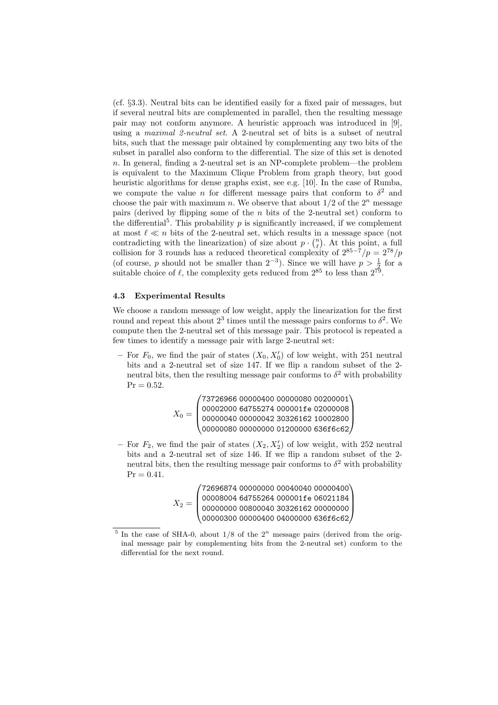(cf. §3.3). Neutral bits can be identified easily for a fixed pair of messages, but if several neutral bits are complemented in parallel, then the resulting message pair may not conform anymore. A heuristic approach was introduced in [9], using a maximal 2-neutral set. A 2-neutral set of bits is a subset of neutral bits, such that the message pair obtained by complementing any two bits of the subset in parallel also conform to the differential. The size of this set is denoted n. In general, finding a 2-neutral set is an NP-complete problem—the problem is equivalent to the Maximum Clique Problem from graph theory, but good heuristic algorithms for dense graphs exist, see e.g. [10]. In the case of Rumba, we compute the value *n* for different message pairs that conform to  $\delta^2$  and choose the pair with maximum n. We observe that about  $1/2$  of the  $2^n$  message pairs (derived by flipping some of the n bits of the 2-neutral set) conform to the differential<sup>5</sup>. This probability  $p$  is significantly increased, if we complement at most  $\ell \ll n$  bits of the 2-neutral set, which results in a message space (not at most  $\ell \ll n$  bits of the 2-neutral set, which results in a message space (not contradicting with the linearization) of size about  $p \cdot {n \choose \ell}$ . At this point, a full collision for 3 rounds has a reduced theoretical complexity of  $2^{85-\frac{7}{7}}/p = 2^{78}/p$ (of course, p should not be smaller than  $2^{-3}$ ). Since we will have  $p > \frac{1}{2}$  for a suitable choice of  $\ell$ , the complexity gets reduced from  $2^{85}$  to less than  $2^{79}$ .

# 4.3 Experimental Results

We choose a random message of low weight, apply the linearization for the first round and repeat this about  $2^3$  times until the message pairs conforms to  $\delta^2$ . We compute then the 2-neutral set of this message pair. This protocol is repeated a few times to identify a message pair with large 2-neutral set:

- For  $F_0$ , we find the pair of states  $(X_0, X'_0)$  of low weight, with 251 neutral bits and a 2-neutral set of size 147. If we flip a random subset of the 2 neutral bits, then the resulting message pair conforms to  $\delta^2$  with probability  $Pr = 0.52$ .  $\mathbf{r}$ 

$$
X_0=\begin{pmatrix}73726966\ 00000400\ 00000080\ 00200001\\ 00002000\ 6{\tt d}755274\ 000001{\tt f}{\tt e}\ 02000008\\ 00000040\ 00000042\ 30326162\ 10002800\\ 00000080\ 00000000\ 01200000\ 636{\tt f}{\tt e}{\tt e}{\tt 2}\end{pmatrix}
$$

– For  $F_2$ , we find the pair of states  $(X_2, X_2')$  of low weight, with 252 neutral bits and a 2-neutral set of size 146. If we flip a random subset of the 2 neutral bits, then the resulting message pair conforms to  $\delta^2$  with probability  $Pr = 0.41.$  $\mathbf{r}$ 

| $X_2 =$ |  | $\begin{pmatrix} 72696874 & 00000000 & 00040040 & 00000400 \\ 00008004 & 6{\tt d}755264 & 000001{\tt f}{\tt e} & 06021184 \\ 00000000 & 00800040 & 30326162 & 00000000 \\ 00000300 & 00000400 & 04000000 & 636{\tt f}{\tt 6c62} \end{pmatrix}$ |
|---------|--|------------------------------------------------------------------------------------------------------------------------------------------------------------------------------------------------------------------------------------------------|
|         |  |                                                                                                                                                                                                                                                |
|         |  |                                                                                                                                                                                                                                                |
|         |  |                                                                                                                                                                                                                                                |

 $5$  In the case of SHA-0, about  $1/8$  of the  $2<sup>n</sup>$  message pairs (derived from the original message pair by complementing bits from the 2-neutral set) conform to the differential for the next round.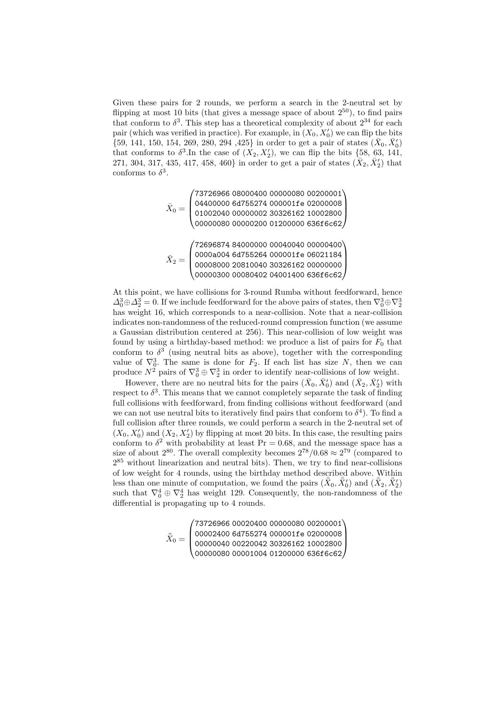Given these pairs for 2 rounds, we perform a search in the 2-neutral set by flipping at most 10 bits (that gives a message space of about  $2^{50}$ ), to find pairs that conform to  $\delta^3$ . This step has a theoretical complexity of about  $2^{34}$  for each pair (which was verified in practice). For example, in  $(X_0, X'_0)$  we can flip the bits  $\{59, 141, 150, 154, 269, 280, 294, 425\}$  in order to get a pair of states  $(\bar{X}_0, \bar{X}'_0)$ that conforms to  $\delta^3$ . In the case of  $(X_2, X_2')$ , we can flip the bits {58, 63, 141, 271, 304, 317, 435, 417, 458, 460} in order to get a pair of states  $(\bar{X}_2, \bar{X}_2')$  that conforms to  $\delta^3$ .

$$
\bar{X}_0=\begin{pmatrix}73726966~08000400~00000080~00200001\\04400000~6d755274~000001f\text{e}~02000008\\01002040~00000002~30326162~10002800\\00000080~00000200~01200000~636f\text{c}c62\end{pmatrix}
$$
\n
$$
\bar{X}_2=\begin{pmatrix}72696874~84000000~00040040~00000400\\00008000~20810040~30326162~00000000\\00008000~20810040~30326162~00000000\\00000300~00080402~04001400~636f\text{c}c62\end{pmatrix}
$$

At this point, we have collisions for 3-round Rumba without feedforward, hence  $\Delta_0^3 \oplus \Delta_2^3 = 0$ . If we include feedforward for the above pairs of states, then  $\nabla_0^3 \oplus \nabla_2^3$ has weight 16, which corresponds to a near-collision. Note that a near-collision indicates non-randomness of the reduced-round compression function (we assume a Gaussian distribution centered at 256). This near-collision of low weight was found by using a birthday-based method: we produce a list of pairs for  $F_0$  that conform to  $\delta^3$  (using neutral bits as above), together with the corresponding value of  $\nabla_0^3$ . The same is done for  $F_2$ . If each list has size N, then we can produce  $N^2$  pairs of  $\nabla_0^3 \oplus \nabla_2^3$  in order to identify near-collisions of low weight.

However, there are no neutral bits for the pairs  $(\bar{X}_0, \bar{X}'_0)$  and  $(\bar{X}_2, \bar{X}'_2)$  with respect to  $\delta^3$ . This means that we cannot completely separate the task of finding full collisions with feedforward, from finding collisions without feedforward (and we can not use neutral bits to iteratively find pairs that conform to  $\delta^4$ ). To find a full collision after three rounds, we could perform a search in the 2-neutral set of  $(X_0, X'_0)$  and  $(X_2, X'_2)$  by flipping at most 20 bits. In this case, the resulting pairs conform to  $\delta^2$  with probability at least  $Pr = 0.68$ , and the message space has a size of about  $2^{80}$ . The overall complexity becomes  $2^{78}/0.68 \approx 2^{79}$  (compared to  $2^{85}$  without linearization and neutral bits). Then, we try to find near-collisions of low weight for 4 rounds, using the birthday method described above. Within less than one minute of computation, we found the pairs  $(\bar{X}_0, \bar{X}'_0)$  and  $(\bar{X}_2, \bar{X}_2)$ such that  $\nabla_0^4 \oplus \nabla_2^4$  has weight 129. Consequently, the non-randomness of the differential is propagating up to 4 rounds.

$$
\bar{\bar{X}}_0=\begin{pmatrix}73726966\ 00020400\ 00000080\ 00200001\\ 00002400\ 6d755274\ 000001fe\ 02000008\\ 00000040\ 00220042\ 30326162\ 10002800\\ 00000080\ 00001004\ 01200000\ 636f6c62\end{pmatrix}
$$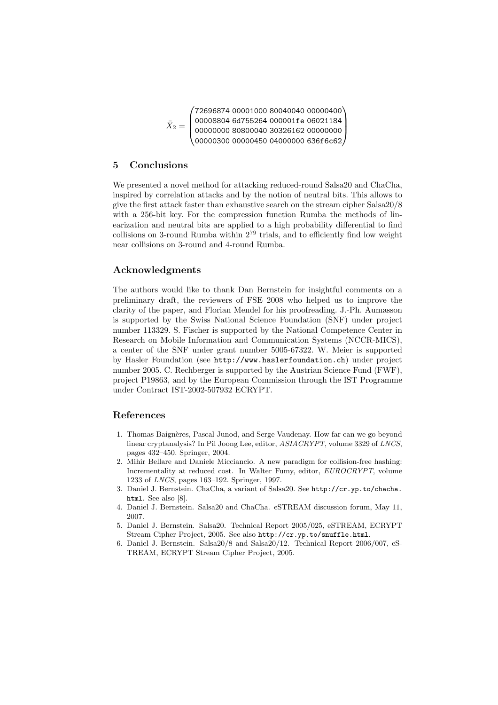$$
\bar{\bar{X}}_2=\begin{pmatrix}72696874&00001000&80040040&00000400\\00008804&6d755264&000001fe&06021184\\00000000&80800040&30326162&00000000\\00000300&00000450&04000000&636f6c62\end{pmatrix}
$$

# 5 Conclusions

We presented a novel method for attacking reduced-round Salsa20 and ChaCha, inspired by correlation attacks and by the notion of neutral bits. This allows to give the first attack faster than exhaustive search on the stream cipher Salsa20/8 with a 256-bit key. For the compression function Rumba the methods of linearization and neutral bits are applied to a high probability differential to find collisions on 3-round Rumba within  $2^{79}$  trials, and to efficiently find low weight near collisions on 3-round and 4-round Rumba.

# Acknowledgments

The authors would like to thank Dan Bernstein for insightful comments on a preliminary draft, the reviewers of FSE 2008 who helped us to improve the clarity of the paper, and Florian Mendel for his proofreading. J.-Ph. Aumasson is supported by the Swiss National Science Foundation (SNF) under project number 113329. S. Fischer is supported by the National Competence Center in Research on Mobile Information and Communication Systems (NCCR-MICS), a center of the SNF under grant number 5005-67322. W. Meier is supported by Hasler Foundation (see http://www.haslerfoundation.ch) under project number 2005. C. Rechberger is supported by the Austrian Science Fund (FWF), project P19863, and by the European Commission through the IST Programme under Contract IST-2002-507932 ECRYPT.

# References

- 1. Thomas Baignères, Pascal Junod, and Serge Vaudenay. How far can we go beyond linear cryptanalysis? In Pil Joong Lee, editor, ASIACRYPT, volume 3329 of LNCS, pages 432–450. Springer, 2004.
- 2. Mihir Bellare and Daniele Micciancio. A new paradigm for collision-free hashing: Incrementality at reduced cost. In Walter Fumy, editor, EUROCRYPT, volume 1233 of LNCS, pages 163–192. Springer, 1997.
- 3. Daniel J. Bernstein. ChaCha, a variant of Salsa20. See http://cr.yp.to/chacha. html. See also [8].
- 4. Daniel J. Bernstein. Salsa20 and ChaCha. eSTREAM discussion forum, May 11, 2007.
- 5. Daniel J. Bernstein. Salsa20. Technical Report 2005/025, eSTREAM, ECRYPT Stream Cipher Project, 2005. See also http://cr.yp.to/snuffle.html.
- 6. Daniel J. Bernstein. Salsa20/8 and Salsa20/12. Technical Report 2006/007, eS-TREAM, ECRYPT Stream Cipher Project, 2005.